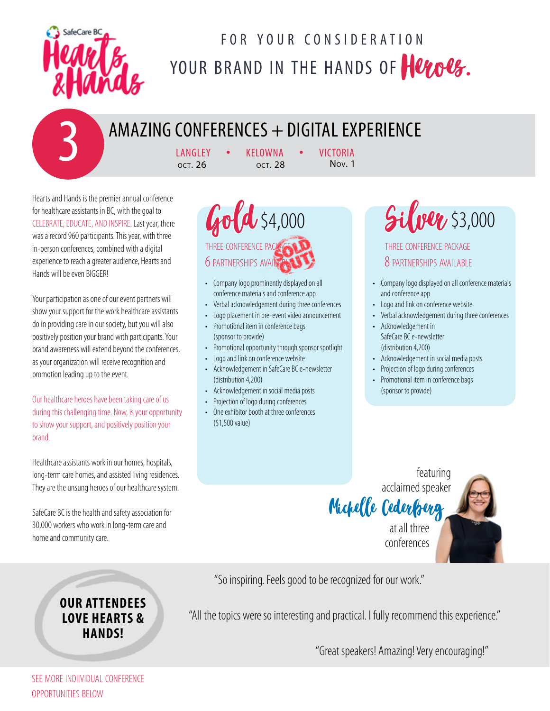

### FOR YOUR CONSIDERATION YOUR BRAND IN THE HANDS OF HULOUS.

# AMAZING CONFERENCES + DIGITAL EXPERIENCE<br>  $\frac{LANGLEY \rightarrow KELOWNA \rightarrow VICTORIA}{QCT, 26}$

**KELOWNA OCT. 28** 

Hearts and Hands is the premier annual conference for healthcare assistants in BC, with the goal to CELEBRATE, EDUCATE, AND INSPIRE. Last year, there was a record 960 participants. This year, with three in-person conferences, combined with a digital experience to reach a greater audience, Hearts and Hands will be even BIGGER!

Your participation as one of our event partners will show your support for the work healthcare assistants do in providing care in our society, but you will also positively position your brand with participants. Your brand awareness will extend beyond the conferences, as your organization will receive recognition and promotion leading up to the event.

Our healthcare heroes have been taking care of us during this challenging time. Now, is your opportunity to show your support, and positively position your brand.

Healthcare assistants work in our homes, hospitals, long-term care homes, and assisted living residences. They are the unsung heroes of our healthcare system.

SafeCare BC is the health and safety association for 30,000 workers who work in long-term care and home and community care.

#### **OUR ATTENDEES LOVE HEARTS & HANDS!**

 $Gold$  \$4,000 three conference package 6 PARTNERSHIPS AVAILAB

- Company logo prominently displayed on all conference materials and conference app
- Verbal acknowledgement during three conferences
- Logo placement in pre-event video announcement
- Promotional item in conference bags (sponsor to provide)
- Promotional opportunity through sponsor spotlight
- Logo and link on conference website
- Acknowledgement in SafeCare BC e-newsletter (distribution 4,200)
- Acknowledgement in social media posts
- Projection of logo during conferences
- One exhibitor booth at three conferences (\$1,500 value)

 $\mathcal{Gil}$ ver \$3,000

three conference package 8 partnerships available

- Company logo displayed on all conference materials and conference app
- Logo and link on conference website
- Verbal acknowledgement during three conferences
- Acknowledgement in SafeCare BC e-newsletter (distribution 4,200)
- Acknowledgement in social media posts
- Projection of logo during conferences
- Promotional item in conference bags (sponsor to provide)

Michelle Cederberg at all three conferences



So inspiring. Feels so good to be recognized for our work. "So inspiring. Feels good to be recognized for our work."

"All the topics were so interesting and practical. I fully recommend this experience."

"Great speakers! Amazing! Very encouraging!"

see more indiividual conference opportunities below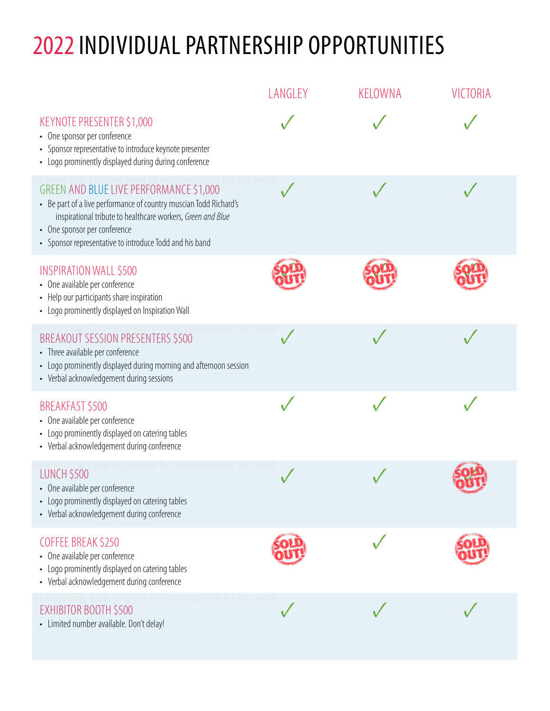## 2022 INDIVIDUAL PARTNERSHIP OPPORTUNITIES

|                                                                                                                                                                                                                                                                        | LANGLEY | KELOWNA | VICTORIA |
|------------------------------------------------------------------------------------------------------------------------------------------------------------------------------------------------------------------------------------------------------------------------|---------|---------|----------|
| KEYNOTE PRESENTER \$1,000<br>• One sponsor per conference<br>• Sponsor representative to introduce keynote presenter<br>• Logo prominently displayed during during conference                                                                                          |         |         |          |
| GREEN AND BLUE LIVE PERFORMANCE \$1,000<br>• Be part of a live performance of country muscian Todd Richard's<br>inspirational tribute to healthcare workers, Green and Blue<br>• One sponsor per conference<br>• Sponsor representative to introduce Todd and his band |         |         |          |
| <b>INSPIRATION WALL \$500</b><br>• One available per conference<br>• Help our participants share inspiration<br>• Logo prominently displayed on Inspiration Wall                                                                                                       |         |         |          |
| BREAKOUT SESSION PRESENTERS \$500<br>• Three available per conference<br>• Logo prominently displayed during morning and afternoon session<br>• Verbal acknowledgement during sessions                                                                                 |         |         |          |
| BREAKFAST \$500<br>• One available per conference<br>• Logo prominently displayed on catering tables<br>• Verbal acknowledgement during conference                                                                                                                     |         |         |          |
| <b>LUNCH \$500</b><br>• One available per conference<br>Logo prominently displayed on catering tables<br>$\bullet$<br>• Verbal acknowledgement during conference                                                                                                       |         |         |          |
| COFFEE BREAK \$250<br>• One available per conference<br>Logo prominently displayed on catering tables<br>• Verbal acknowledgement during conference                                                                                                                    |         |         |          |
| inspiring. Feels so good to be recognized for our work<br>EXHIBITOR BOOTH \$500<br>- Limited number available. Don't delay!                                                                                                                                            |         |         |          |